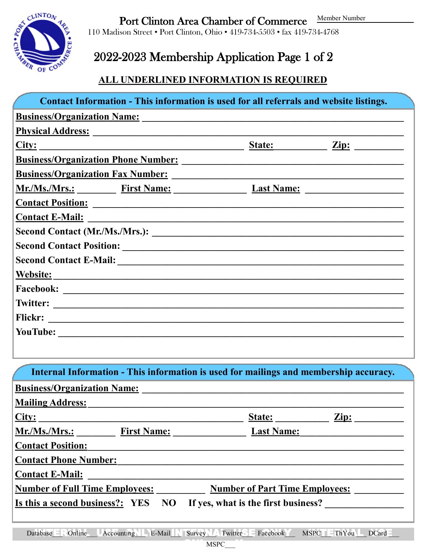Member Number



Port Clinton Area Chamber of Commerce

110 Madison Street • Port Clinton, Ohio • 419-734-5503 • fax 419-734-4768

## 2022-2023 Membership Application Page 1 of 2

#### **ALL UNDERLINED INFORMATION IS REQUIRED**

| Contact Information - This information is used for all referrals and website listings.                          |                                     |                                       |
|-----------------------------------------------------------------------------------------------------------------|-------------------------------------|---------------------------------------|
| Business/Organization Name: Manner Contractor Contractor Contractor Contractor Contractor Contractor Contractor |                                     |                                       |
|                                                                                                                 |                                     |                                       |
| City:                                                                                                           |                                     | <u>State: Zip: 2111</u>               |
|                                                                                                                 |                                     |                                       |
|                                                                                                                 |                                     |                                       |
| Mr./Ms./Mrs.: First Name: Last Name: Last Name:                                                                 |                                     |                                       |
| Contact Position: Letter and Contact Position:                                                                  |                                     |                                       |
|                                                                                                                 |                                     |                                       |
|                                                                                                                 |                                     |                                       |
|                                                                                                                 |                                     |                                       |
|                                                                                                                 |                                     |                                       |
|                                                                                                                 |                                     |                                       |
|                                                                                                                 |                                     |                                       |
|                                                                                                                 |                                     |                                       |
|                                                                                                                 |                                     |                                       |
|                                                                                                                 |                                     |                                       |
|                                                                                                                 |                                     |                                       |
| Internal Information - This information is used for mailings and membership accuracy.                           |                                     |                                       |
| <b>Business/Organization Name:</b>                                                                              |                                     |                                       |
| <b>Mailing Address:</b>                                                                                         |                                     |                                       |
| <u>City:</u><br><u> 1990 - Johann John Barn, mars an Francisco a Barn an Aonaich an t-</u>                      | State:<br>$\frac{Zip}{.}$           |                                       |
| Mr./Ms./Mrs.: First Name:                                                                                       | <b>Last Name:</b>                   |                                       |
| <b>Contact Position:</b>                                                                                        |                                     |                                       |
| <b>Contact Phone Number:</b>                                                                                    |                                     |                                       |
| <b>Contact E-Mail:</b>                                                                                          |                                     |                                       |
| <b>Number of Full Time Employees:</b>                                                                           |                                     | <b>Number of Part Time Employees:</b> |
| Is this a second business?: YES<br>NO                                                                           | If yes, what is the first business? |                                       |

**MSPC**